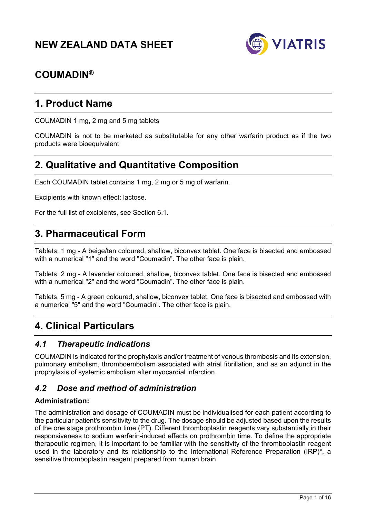# **NEW ZEALAND DATA SHEET**



# **COUMADIN®**

# **1. Product Name**

COUMADIN 1 mg, 2 mg and 5 mg tablets

COUMADIN is not to be marketed as substitutable for any other warfarin product as if the two products were bioequivalent

# **2. Qualitative and Quantitative Composition**

Each COUMADIN tablet contains 1 mg, 2 mg or 5 mg of warfarin.

Excipients with known effect: lactose.

For the full list of excipients, see Section 6.1.

# **3. Pharmaceutical Form**

Tablets, 1 mg - A beige/tan coloured, shallow, biconvex tablet. One face is bisected and embossed with a numerical "1" and the word "Coumadin". The other face is plain.

Tablets, 2 mg - A lavender coloured, shallow, biconvex tablet. One face is bisected and embossed with a numerical "2" and the word "Coumadin". The other face is plain.

Tablets, 5 mg - A green coloured, shallow, biconvex tablet. One face is bisected and embossed with a numerical "5" and the word "Coumadin". The other face is plain.

# **4. Clinical Particulars**

## *4.1 Therapeutic indications*

COUMADIN is indicated for the prophylaxis and/or treatment of venous thrombosis and its extension, pulmonary embolism, thromboembolism associated with atrial fibrillation, and as an adjunct in the prophylaxis of systemic embolism after myocardial infarction.

# *4.2 Dose and method of administration*

### **Administration:**

The administration and dosage of COUMADIN must be individualised for each patient according to the particular patient's sensitivity to the drug. The dosage should be adjusted based upon the results of the one stage prothrombin time (PT). Different thromboplastin reagents vary substantially in their responsiveness to sodium warfarin-induced effects on prothrombin time. To define the appropriate therapeutic regimen, it is important to be familiar with the sensitivity of the thromboplastin reagent used in the laboratory and its relationship to the International Reference Preparation (IRP)\*, a sensitive thromboplastin reagent prepared from human brain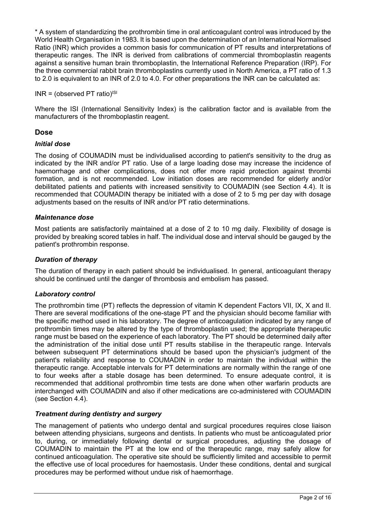\* A system of standardizing the prothrombin time in oral anticoagulant control was introduced by the World Health Organisation in 1983. It is based upon the determination of an International Normalised Ratio (INR) which provides a common basis for communication of PT results and interpretations of therapeutic ranges. The INR is derived from calibrations of commercial thromboplastin reagents against a sensitive human brain thromboplastin, the International Reference Preparation (IRP). For the three commercial rabbit brain thromboplastins currently used in North America, a PT ratio of 1.3 to 2.0 is equivalent to an INR of 2.0 to 4.0. For other preparations the INR can be calculated as:

 $INR = (observed PT ratio)^{|S|}$ 

Where the ISI (International Sensitivity Index) is the calibration factor and is available from the manufacturers of the thromboplastin reagent.

### **Dose**

#### *Initial dose*

The dosing of COUMADIN must be individualised according to patient's sensitivity to the drug as indicated by the INR and/or PT ratio. Use of a large loading dose may increase the incidence of haemorrhage and other complications, does not offer more rapid protection against thrombi formation, and is not recommended. Low initiation doses are recommended for elderly and/or debilitated patients and patients with increased sensitivity to COUMADIN (see Section 4.4). It is recommended that COUMADIN therapy be initiated with a dose of 2 to 5 mg per day with dosage adjustments based on the results of INR and/or PT ratio determinations.

#### *Maintenance dose*

Most patients are satisfactorily maintained at a dose of 2 to 10 mg daily. Flexibility of dosage is provided by breaking scored tables in half. The individual dose and interval should be gauged by the patient's prothrombin response.

#### *Duration of therapy*

The duration of therapy in each patient should be individualised. In general, anticoagulant therapy should be continued until the danger of thrombosis and embolism has passed.

### *Laboratory control*

The prothrombin time (PT) reflects the depression of vitamin K dependent Factors VII, IX, X and II. There are several modifications of the one-stage PT and the physician should become familiar with the specific method used in his laboratory. The degree of anticoagulation indicated by any range of prothrombin times may be altered by the type of thromboplastin used; the appropriate therapeutic range must be based on the experience of each laboratory. The PT should be determined daily after the administration of the initial dose until PT results stabilise in the therapeutic range. Intervals between subsequent PT determinations should be based upon the physician's judgment of the patient's reliability and response to COUMADIN in order to maintain the individual within the therapeutic range. Acceptable intervals for PT determinations are normally within the range of one to four weeks after a stable dosage has been determined. To ensure adequate control, it is recommended that additional prothrombin time tests are done when other warfarin products are interchanged with COUMADIN and also if other medications are co-administered with COUMADIN (see Section 4.4).

### *Treatment during dentistry and surgery*

The management of patients who undergo dental and surgical procedures requires close liaison between attending physicians, surgeons and dentists. In patients who must be anticoagulated prior to, during, or immediately following dental or surgical procedures, adjusting the dosage of COUMADIN to maintain the PT at the low end of the therapeutic range, may safely allow for continued anticoagulation. The operative site should be sufficiently limited and accessible to permit the effective use of local procedures for haemostasis. Under these conditions, dental and surgical procedures may be performed without undue risk of haemorrhage.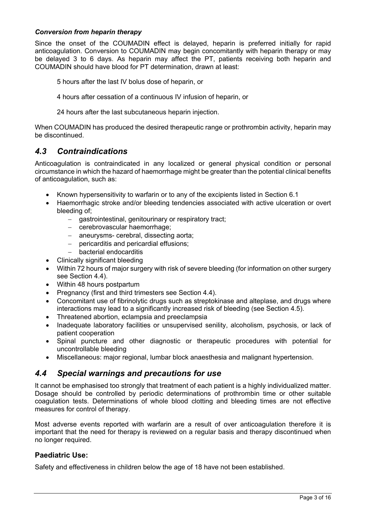#### *Conversion from heparin therapy*

Since the onset of the COUMADIN effect is delayed, heparin is preferred initially for rapid anticoagulation. Conversion to COUMADIN may begin concomitantly with heparin therapy or may be delayed 3 to 6 days. As heparin may affect the PT, patients receiving both heparin and COUMADIN should have blood for PT determination, drawn at least:

5 hours after the last IV bolus dose of heparin, or

4 hours after cessation of a continuous IV infusion of heparin, or

24 hours after the last subcutaneous heparin injection.

When COUMADIN has produced the desired therapeutic range or prothrombin activity, heparin may be discontinued.

## *4.3 Contraindications*

Anticoagulation is contraindicated in any localized or general physical condition or personal circumstance in which the hazard of haemorrhage might be greater than the potential clinical benefits of anticoagulation, such as:

- Known hypersensitivity to warfarin or to any of the excipients listed in Section 6.1
- Haemorrhagic stroke and/or bleeding tendencies associated with active ulceration or overt bleeding of;
	- gastrointestinal, genitourinary or respiratory tract;
	- cerebrovascular haemorrhage;
	- aneurysms- cerebral, dissecting aorta;
	- pericarditis and pericardial effusions;
	- bacterial endocarditis
- Clinically significant bleeding
- Within 72 hours of major surgery with risk of severe bleeding (for information on other surgery see Section 4.4).
- Within 48 hours postpartum
- Pregnancy (first and third trimesters see Section 4.4).
- Concomitant use of fibrinolytic drugs such as streptokinase and alteplase, and drugs where interactions may lead to a significantly increased risk of bleeding (see Section 4.5).
- Threatened abortion, eclampsia and preeclampsia
- Inadequate laboratory facilities or unsupervised senility, alcoholism, psychosis, or lack of patient cooperation
- Spinal puncture and other diagnostic or therapeutic procedures with potential for uncontrollable bleeding
- Miscellaneous: major regional, lumbar block anaesthesia and malignant hypertension.

# *4.4 Special warnings and precautions for use*

It cannot be emphasised too strongly that treatment of each patient is a highly individualized matter. Dosage should be controlled by periodic determinations of prothrombin time or other suitable coagulation tests. Determinations of whole blood clotting and bleeding times are not effective measures for control of therapy.

Most adverse events reported with warfarin are a result of over anticoagulation therefore it is important that the need for therapy is reviewed on a regular basis and therapy discontinued when no longer required.

### **Paediatric Use:**

Safety and effectiveness in children below the age of 18 have not been established.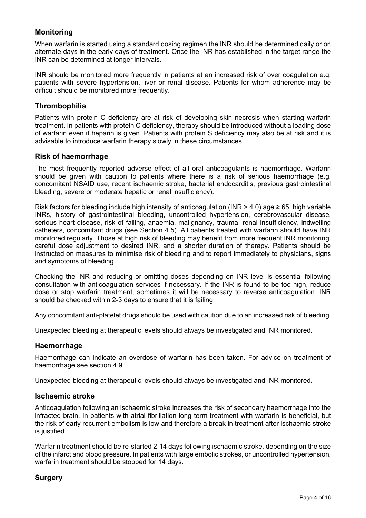### **Monitoring**

When warfarin is started using a standard dosing regimen the INR should be determined daily or on alternate days in the early days of treatment. Once the INR has established in the target range the INR can be determined at longer intervals.

INR should be monitored more frequently in patients at an increased risk of over coagulation e.g. patients with severe hypertension, liver or renal disease. Patients for whom adherence may be difficult should be monitored more frequently.

#### **Thrombophilia**

Patients with protein C deficiency are at risk of developing skin necrosis when starting warfarin treatment. In patients with protein C deficiency, therapy should be introduced without a loading dose of warfarin even if heparin is given. Patients with protein S deficiency may also be at risk and it is advisable to introduce warfarin therapy slowly in these circumstances.

#### **Risk of haemorrhage**

The most frequently reported adverse effect of all oral anticoagulants is haemorrhage. Warfarin should be given with caution to patients where there is a risk of serious haemorrhage (e.g. concomitant NSAID use, recent ischaemic stroke, bacterial endocarditis, previous gastrointestinal bleeding, severe or moderate hepatic or renal insufficiency).

Risk factors for bleeding include high intensity of anticoagulation (INR > 4.0) age  $\geq$  65, high variable INRs, history of gastrointestinal bleeding, uncontrolled hypertension, cerebrovascular disease, serious heart disease, risk of failing, anaemia, malignancy, trauma, renal insufficiency, indwelling catheters, concomitant drugs (see Section 4.5). All patients treated with warfarin should have INR monitored regularly. Those at high risk of bleeding may benefit from more frequent INR monitoring, careful dose adjustment to desired INR, and a shorter duration of therapy. Patients should be instructed on measures to minimise risk of bleeding and to report immediately to physicians, signs and symptoms of bleeding.

Checking the INR and reducing or omitting doses depending on INR level is essential following consultation with anticoagulation services if necessary. If the INR is found to be too high, reduce dose or stop warfarin treatment; sometimes it will be necessary to reverse anticoagulation. INR should be checked within 2-3 days to ensure that it is failing.

Any concomitant anti-platelet drugs should be used with caution due to an increased risk of bleeding.

Unexpected bleeding at therapeutic levels should always be investigated and INR monitored.

#### **Haemorrhage**

Haemorrhage can indicate an overdose of warfarin has been taken. For advice on treatment of haemorrhage see section 4.9.

Unexpected bleeding at therapeutic levels should always be investigated and INR monitored.

#### **Ischaemic stroke**

Anticoagulation following an ischaemic stroke increases the risk of secondary haemorrhage into the infracted brain. In patients with atrial fibrillation long term treatment with warfarin is beneficial, but the risk of early recurrent embolism is low and therefore a break in treatment after ischaemic stroke is justified.

Warfarin treatment should be re-started 2-14 days following ischaemic stroke, depending on the size of the infarct and blood pressure. In patients with large embolic strokes, or uncontrolled hypertension, warfarin treatment should be stopped for 14 days.

### **Surgery**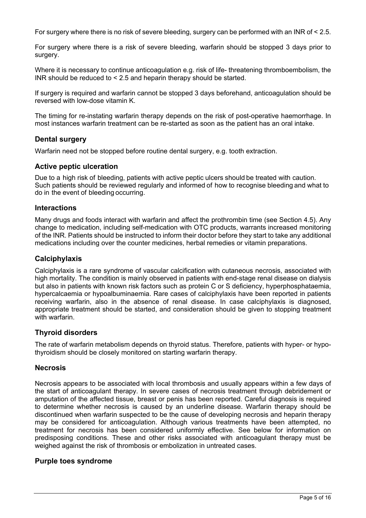For surgery where there is no risk of severe bleeding, surgery can be performed with an INR of < 2.5.

For surgery where there is a risk of severe bleeding, warfarin should be stopped 3 days prior to surgery.

Where it is necessary to continue anticoagulation e.g. risk of life- threatening thromboembolism, the INR should be reduced to < 2.5 and heparin therapy should be started.

If surgery is required and warfarin cannot be stopped 3 days beforehand, anticoagulation should be reversed with low-dose vitamin K.

The timing for re-instating warfarin therapy depends on the risk of post-operative haemorrhage. In most instances warfarin treatment can be re-started as soon as the patient has an oral intake.

### **Dental surgery**

Warfarin need not be stopped before routine dental surgery, e.g. tooth extraction.

#### **Active peptic ulceration**

Due to a high risk of bleeding, patients with active peptic ulcers should be treated with caution. Such patients should be reviewed regularly and informed of how to recognise bleeding and what to do in the event of bleeding occurring.

#### **Interactions**

Many drugs and foods interact with warfarin and affect the prothrombin time (see Section 4.5). Any change to medication, including self-medication with OTC products, warrants increased monitoring of the INR. Patients should be instructed to inform their doctor before they start to take any additional medications including over the counter medicines, herbal remedies or vitamin preparations.

#### **Calciphylaxis**

Calciphylaxis is a rare syndrome of vascular calcification with cutaneous necrosis, associated with high mortality. The condition is mainly observed in patients with end-stage renal disease on dialysis but also in patients with known risk factors such as protein C or S deficiency, hyperphosphataemia, hypercalcaemia or hypoalbuminaemia. Rare cases of calciphylaxis have been reported in patients receiving warfarin, also in the absence of renal disease. In case calciphylaxis is diagnosed, appropriate treatment should be started, and consideration should be given to stopping treatment with warfarin.

#### **Thyroid disorders**

The rate of warfarin metabolism depends on thyroid status. Therefore, patients with hyper- or hypothyroidism should be closely monitored on starting warfarin therapy.

#### **Necrosis**

Necrosis appears to be associated with local thrombosis and usually appears within a few days of the start of anticoagulant therapy. In severe cases of necrosis treatment through debridement or amputation of the affected tissue, breast or penis has been reported. Careful diagnosis is required to determine whether necrosis is caused by an underline disease. Warfarin therapy should be discontinued when warfarin suspected to be the cause of developing necrosis and heparin therapy may be considered for anticoagulation. Although various treatments have been attempted, no treatment for necrosis has been considered uniformly effective. See below for information on predisposing conditions. These and other risks associated with anticoagulant therapy must be weighed against the risk of thrombosis or embolization in untreated cases.

#### **Purple toes syndrome**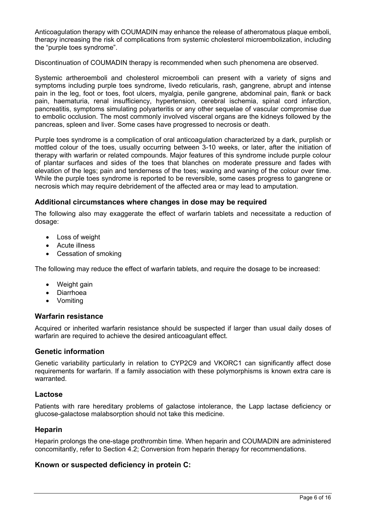Anticoagulation therapy with COUMADIN may enhance the release of atheromatous plaque emboli, therapy increasing the risk of complications from systemic cholesterol microembolization, including the "purple toes syndrome".

Discontinuation of COUMADIN therapy is recommended when such phenomena are observed.

Systemic artheroemboli and cholesterol microemboli can present with a variety of signs and symptoms including purple toes syndrome, livedo reticularis, rash, gangrene, abrupt and intense pain in the leg, foot or toes, foot ulcers, myalgia, penile gangrene, abdominal pain, flank or back pain, haematuria, renal insufficiency, hypertension, cerebral ischemia, spinal cord infarction, pancreatitis, symptoms simulating polyarteritis or any other sequelae of vascular compromise due to embolic occlusion. The most commonly involved visceral organs are the kidneys followed by the pancreas, spleen and liver. Some cases have progressed to necrosis or death.

Purple toes syndrome is a complication of oral anticoagulation characterized by a dark, purplish or mottled colour of the toes, usually occurring between 3-10 weeks, or later, after the initiation of therapy with warfarin or related compounds. Major features of this syndrome include purple colour of plantar surfaces and sides of the toes that blanches on moderate pressure and fades with elevation of the legs; pain and tenderness of the toes; waxing and waning of the colour over time. While the purple toes syndrome is reported to be reversible, some cases progress to gangrene or necrosis which may require debridement of the affected area or may lead to amputation.

#### **Additional circumstances where changes in dose may be required**

The following also may exaggerate the effect of warfarin tablets and necessitate a reduction of dosage:

- Loss of weight
- Acute illness
- Cessation of smoking

The following may reduce the effect of warfarin tablets, and require the dosage to be increased:

- Weight gain
- Diarrhoea
- Vomiting

#### **Warfarin resistance**

Acquired or inherited warfarin resistance should be suspected if larger than usual daily doses of warfarin are required to achieve the desired anticoagulant effect.

#### **Genetic information**

Genetic variability particularly in relation to CYP2C9 and VKORC1 can significantly affect dose requirements for warfarin. If a family association with these polymorphisms is known extra care is warranted.

#### **Lactose**

Patients with rare hereditary problems of galactose intolerance, the Lapp lactase deficiency or glucose-galactose malabsorption should not take this medicine.

#### **Heparin**

Heparin prolongs the one-stage prothrombin time. When heparin and COUMADIN are administered concomitantly, refer to Section 4.2; Conversion from heparin therapy for recommendations.

#### **Known or suspected deficiency in protein C:**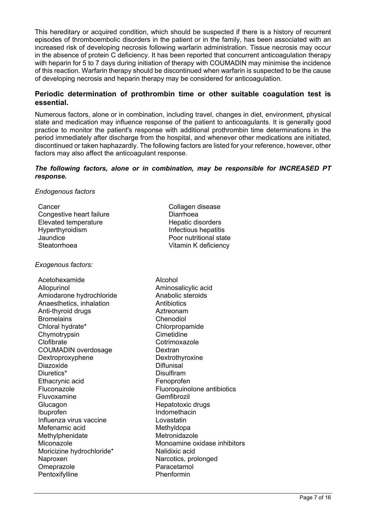This hereditary or acquired condition, which should be suspected if there is a history of recurrent episodes of thromboembolic disorders in the patient or in the family, has been associated with an increased risk of developing necrosis following warfarin administration. Tissue necrosis may occur in the absence of protein C deficiency. It has been reported that concurrent anticoagulation therapy with heparin for 5 to 7 days during initiation of therapy with COUMADIN may minimise the incidence of this reaction. Warfarin therapy should be discontinued when warfarin is suspected to be the cause of developing necrosis and heparin therapy may be considered for anticoagulation.

#### **Periodic determination of prothrombin time or other suitable coagulation test is essential.**

Numerous factors, alone or in combination, including travel, changes in diet, environment, physical state and medication may influence response of the patient to anticoagulants. It is generally good practice to monitor the patient's response with additional prothrombin time determinations in the period immediately after discharge from the hospital, and whenever other medications are initiated, discontinued or taken haphazardly. The following factors are listed for your reference, however, other factors may also affect the anticoagulant response.

#### *The following factors, alone or in combination, may be responsible for INCREASED PT response.*

#### *Endogenous factors*

| Cancer                   | Collagen disease       |
|--------------------------|------------------------|
| Congestive heart failure | Diarrhoea              |
| Elevated temperature     | Hepatic disorders      |
| Hyperthyroidism          | Infectious hepatitis   |
| Jaundice                 | Poor nutritional state |
| Steatorrhoea             | Vitamin K deficiency   |
|                          |                        |

#### *Exogenous factors:*

Acetohexamide Alcohol Allopurinol Aminosalicylic acid Amiodarone hydrochloride Anabolic steroids Anaesthetics, inhalation **Antibiotics** Anti-thyroid drugs Aztreonam Bromelains Chenodiol Chloral hydrate\* Chlorpropamide<br>
Chymotrynsin<br>
Cimetidine Chymotrypsin Clofibrate Cotrimoxazole COUMADIN overdosage Dextran Dextroproxyphene Dextrothyroxine Diazoxide Diflunisal Diuretics\* Disulfiram Ethacrynic acid Fenoprofen Fluvoxamine Gemfibrozil Glucagon Hepatotoxic drugs Ibuprofen Indomethacin Influenza virus vaccine Lovastatin Mefenamic acid Methyldopa Methylphenidate Metronidazole Moricizine hydrochloride\* Nalidixic acid Naproxen Narcotics, prolonged Omeprazole **Paracetamol** Pentoxifylline **Phenformin** 

Fluconazole Fluoroquinolone antibiotics Miconazole Monoamine oxidase inhibitors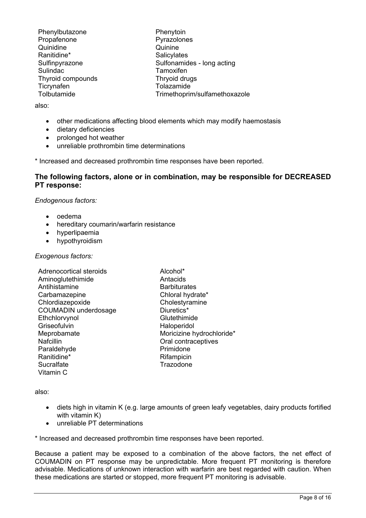| Phenylbutazone    |  |
|-------------------|--|
| Propafenone       |  |
| Quinidine         |  |
| Ranitidine*       |  |
| Sulfinpyrazone    |  |
| Sulindac          |  |
| Thyroid compounds |  |
| Ticrynafen        |  |
| Tolbutamide       |  |

Phenytoin Pyrazolones Quinine **Salicvlates** Sulfonamides - long acting **Tamoxifen** Thryoid drugs Tolazamide Trimethoprim/sulfamethoxazole

also:

- other medications affecting blood elements which may modify haemostasis
- dietary deficiencies
- prolonged hot weather
- unreliable prothrombin time determinations

\* Increased and decreased prothrombin time responses have been reported.

#### **The following factors, alone or in combination, may be responsible for DECREASED PT response:**

*Endogenous factors:*

- oedema
- hereditary coumarin/warfarin resistance
- hyperlipaemia
- hypothyroidism

#### *Exogenous factors:*

- Adrenocortical steroids **Alcohol<sup>\*</sup>**<br>
Aminoqlutethimide **Aminoqlutethimide** Antacids Aminoglutethimide Antihistamine **Barbiturates** Carbamazepine Chloral hydrate\* Chlordiazepoxide Cholestyramine COUMADIN underdosage Diuretics\* Ethchlorvynol Glutethimide Griseofulvin **Haloperidol** Meprobamate Moricizine hydrochloride\*<br>
Nafcillin<br>
Oral contraceptives Paraldehyde **Primidone** Ranitidine<sup>\*</sup> Rifampicin Sucralfate Trazodone Vitamin C
	- Oral contraceptives

also:

- diets high in vitamin K (e.g. large amounts of green leafy vegetables, dairy products fortified with vitamin K)
- unreliable PT determinations

\* Increased and decreased prothrombin time responses have been reported.

Because a patient may be exposed to a combination of the above factors, the net effect of COUMADIN on PT response may be unpredictable. More frequent PT monitoring is therefore advisable. Medications of unknown interaction with warfarin are best regarded with caution. When these medications are started or stopped, more frequent PT monitoring is advisable.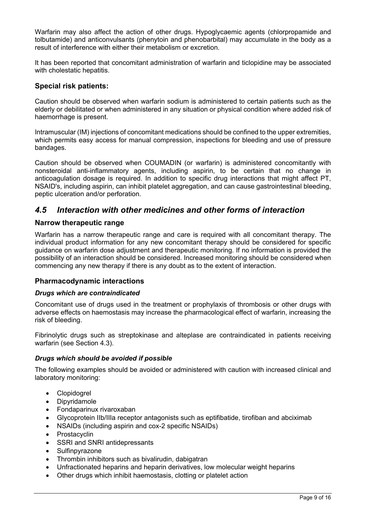Warfarin may also affect the action of other drugs. Hypoglycaemic agents (chlorpropamide and tolbutamide) and anticonvulsants (phenytoin and phenobarbital) may accumulate in the body as a result of interference with either their metabolism or excretion.

It has been reported that concomitant administration of warfarin and ticlopidine may be associated with cholestatic hepatitis.

#### **Special risk patients:**

Caution should be observed when warfarin sodium is administered to certain patients such as the elderly or debilitated or when administered in any situation or physical condition where added risk of haemorrhage is present.

Intramuscular (IM) injections of concomitant medications should be confined to the upper extremities, which permits easy access for manual compression, inspections for bleeding and use of pressure bandages.

Caution should be observed when COUMADIN (or warfarin) is administered concomitantly with nonsteroidal anti-inflammatory agents, including aspirin, to be certain that no change in anticoagulation dosage is required. In addition to specific drug interactions that might affect PT, NSAID's, including aspirin, can inhibit platelet aggregation, and can cause gastrointestinal bleeding, peptic ulceration and/or perforation.

## *4.5 Interaction with other medicines and other forms of interaction*

#### **Narrow therapeutic range**

Warfarin has a narrow therapeutic range and care is required with all concomitant therapy. The individual product information for any new concomitant therapy should be considered for specific guidance on warfarin dose adjustment and therapeutic monitoring. If no information is provided the possibility of an interaction should be considered. Increased monitoring should be considered when commencing any new therapy if there is any doubt as to the extent of interaction.

#### **Pharmacodynamic interactions**

#### *Drugs which are contraindicated*

Concomitant use of drugs used in the treatment or prophylaxis of thrombosis or other drugs with adverse effects on haemostasis may increase the pharmacological effect of warfarin, increasing the risk of bleeding.

Fibrinolytic drugs such as streptokinase and alteplase are contraindicated in patients receiving warfarin (see Section 4.3).

#### *Drugs which should be avoided if possible*

The following examples should be avoided or administered with caution with increased clinical and laboratory monitoring:

- Clopidogrel
- Dipyridamole
- Fondaparinux rivaroxaban
- Glycoprotein IIb/IIIa receptor antagonists such as eptifibatide, tirofiban and abciximab
- NSAIDs (including aspirin and cox-2 specific NSAIDs)
- Prostacyclin
- SSRI and SNRI antidepressants
- **Sulfinpyrazone**
- Thrombin inhibitors such as bivalirudin, dabigatran
- Unfractionated heparins and heparin derivatives, low molecular weight heparins
- Other drugs which inhibit haemostasis, clotting or platelet action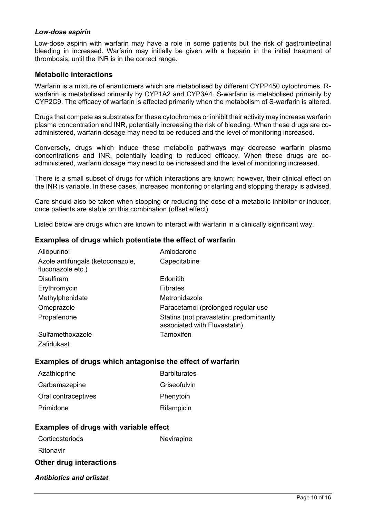#### *Low-dose aspirin*

Low-dose aspirin with warfarin may have a role in some patients but the risk of gastrointestinal bleeding in increased. Warfarin may initially be given with a heparin in the initial treatment of thrombosis, until the INR is in the correct range.

#### **Metabolic interactions**

Warfarin is a mixture of enantiomers which are metabolised by different CYPP450 cytochromes. Rwarfarin is metabolised primarily by CYP1A2 and CYP3A4. S-warfarin is metabolised primarily by CYP2C9. The efficacy of warfarin is affected primarily when the metabolism of S-warfarin is altered.

Drugs that compete as substrates for these cytochromes or inhibit their activity may increase warfarin plasma concentration and INR, potentially increasing the risk of bleeding. When these drugs are coadministered, warfarin dosage may need to be reduced and the level of monitoring increased.

Conversely, drugs which induce these metabolic pathways may decrease warfarin plasma concentrations and INR, potentially leading to reduced efficacy. When these drugs are coadministered, warfarin dosage may need to be increased and the level of monitoring increased.

There is a small subset of drugs for which interactions are known; however, their clinical effect on the INR is variable. In these cases, increased monitoring or starting and stopping therapy is advised.

Care should also be taken when stopping or reducing the dose of a metabolic inhibitor or inducer, once patients are stable on this combination (offset effect).

Listed below are drugs which are known to interact with warfarin in a clinically significant way.

#### **Examples of drugs which potentiate the effect of warfarin**

| Allopurinol                                           | Amiodarone                                                               |
|-------------------------------------------------------|--------------------------------------------------------------------------|
| Azole antifungals (ketoconazole,<br>fluconazole etc.) | Capecitabine                                                             |
| <b>Disulfiram</b>                                     | Erlonitib                                                                |
| Erythromycin                                          | <b>Fibrates</b>                                                          |
| Methylphenidate                                       | Metronidazole                                                            |
| Omeprazole                                            | Paracetamol (prolonged regular use                                       |
| Propafenone                                           | Statins (not pravastatin; predominantly<br>associated with Fluvastatin), |
| Sulfamethoxazole                                      | Tamoxifen                                                                |
| Zafirlukast                                           |                                                                          |

#### **Examples of drugs which antagonise the effect of warfarin**

| Azathioprine        | <b>Barbiturates</b> |
|---------------------|---------------------|
| Carbamazepine       | Griseofulvin        |
| Oral contraceptives | Phenytoin           |
| Primidone           | Rifampicin          |

#### **Examples of drugs with variable effect**

| Corticosteriods                | Nevirapine |
|--------------------------------|------------|
| Ritonavir                      |            |
| <b>Other drug interactions</b> |            |
| Antibiotics and orlistat       |            |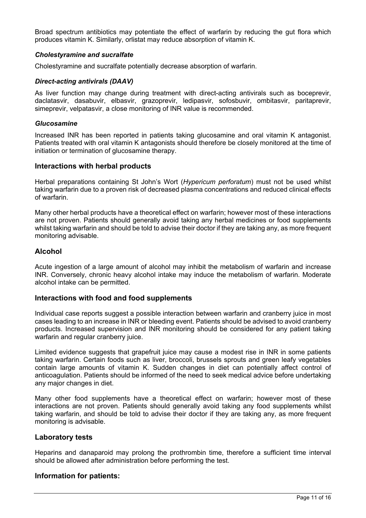Broad spectrum antibiotics may potentiate the effect of warfarin by reducing the gut flora which produces vitamin K. Similarly, orlistat may reduce absorption of vitamin K.

#### *Cholestyramine and sucralfate*

Cholestyramine and sucralfate potentially decrease absorption of warfarin.

#### *Direct-acting antivirals (DAAV)*

As liver function may change during treatment with direct-acting antivirals such as boceprevir, daclatasvir, dasabuvir, elbasvir, grazoprevir, ledipasvir, sofosbuvir, ombitasvir, paritaprevir, simeprevir, velpatasvir, a close monitoring of INR value is recommended.

#### *Glucosamine*

Increased INR has been reported in patients taking glucosamine and oral vitamin K antagonist. Patients treated with oral vitamin K antagonists should therefore be closely monitored at the time of initiation or termination of glucosamine therapy.

#### **Interactions with herbal products**

Herbal preparations containing St John's Wort (*Hypericum perforatum*) must not be used whilst taking warfarin due to a proven risk of decreased plasma concentrations and reduced clinical effects of warfarin.

Many other herbal products have a theoretical effect on warfarin; however most of these interactions are not proven. Patients should generally avoid taking any herbal medicines or food supplements whilst taking warfarin and should be told to advise their doctor if they are taking any, as more frequent monitoring advisable.

#### **Alcohol**

Acute ingestion of a large amount of alcohol may inhibit the metabolism of warfarin and increase INR. Conversely, chronic heavy alcohol intake may induce the metabolism of warfarin. Moderate alcohol intake can be permitted.

#### **Interactions with food and food supplements**

Individual case reports suggest a possible interaction between warfarin and cranberry juice in most cases leading to an increase in INR or bleeding event. Patients should be advised to avoid cranberry products. Increased supervision and INR monitoring should be considered for any patient taking warfarin and regular cranberry juice.

Limited evidence suggests that grapefruit juice may cause a modest rise in INR in some patients taking warfarin. Certain foods such as liver, broccoli, brussels sprouts and green leafy vegetables contain large amounts of vitamin K. Sudden changes in diet can potentially affect control of anticoagulation. Patients should be informed of the need to seek medical advice before undertaking any major changes in diet.

Many other food supplements have a theoretical effect on warfarin; however most of these interactions are not proven. Patients should generally avoid taking any food supplements whilst taking warfarin, and should be told to advise their doctor if they are taking any, as more frequent monitoring is advisable.

#### **Laboratory tests**

Heparins and danaparoid may prolong the prothrombin time, therefore a sufficient time interval should be allowed after administration before performing the test.

#### **Information for patients:**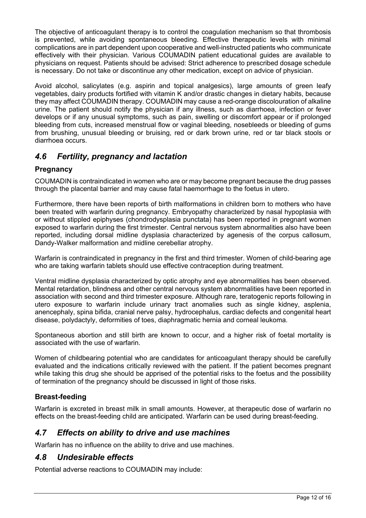The objective of anticoagulant therapy is to control the coagulation mechanism so that thrombosis is prevented, while avoiding spontaneous bleeding. Effective therapeutic levels with minimal complications are in part dependent upon cooperative and well-instructed patients who communicate effectively with their physician. Various COUMADIN patient educational guides are available to physicians on request. Patients should be advised: Strict adherence to prescribed dosage schedule is necessary. Do not take or discontinue any other medication, except on advice of physician.

Avoid alcohol, salicylates (e.g. aspirin and topical analgesics), large amounts of green leafy vegetables, dairy products fortified with vitamin K and/or drastic changes in dietary habits, because they may affect COUMADIN therapy. COUMADIN may cause a red-orange discolouration of alkaline urine. The patient should notify the physician if any illness, such as diarrhoea, infection or fever develops or if any unusual symptoms, such as pain, swelling or discomfort appear or if prolonged bleeding from cuts, increased menstrual flow or vaginal bleeding, nosebleeds or bleeding of gums from brushing, unusual bleeding or bruising, red or dark brown urine, red or tar black stools or diarrhoea occurs.

# *4.6 Fertility, pregnancy and lactation*

## **Pregnancy**

COUMADIN is contraindicated in women who are or may become pregnant because the drug passes through the placental barrier and may cause fatal haemorrhage to the foetus in utero.

Furthermore, there have been reports of birth malformations in children born to mothers who have been treated with warfarin during pregnancy. Embryopathy characterized by nasal hypoplasia with or without stippled epiphyses (chondrodysplasia punctata) has been reported in pregnant women exposed to warfarin during the first trimester. Central nervous system abnormalities also have been reported, including dorsal midline dysplasia characterized by agenesis of the corpus callosum, Dandy-Walker malformation and midline cerebellar atrophy.

Warfarin is contraindicated in pregnancy in the first and third trimester. Women of child-bearing age who are taking warfarin tablets should use effective contraception during treatment.

Ventral midline dysplasia characterized by optic atrophy and eye abnormalities has been observed. Mental retardation, blindness and other central nervous system abnormalities have been reported in association with second and third trimester exposure. Although rare, teratogenic reports following in utero exposure to warfarin include urinary tract anomalies such as single kidney, asplenia, anencephaly, spina bifida, cranial nerve palsy, hydrocephalus, cardiac defects and congenital heart disease, polydactyly, deformities of toes, diaphragmatic hernia and corneal leukoma.

Spontaneous abortion and still birth are known to occur, and a higher risk of foetal mortality is associated with the use of warfarin.

Women of childbearing potential who are candidates for anticoagulant therapy should be carefully evaluated and the indications critically reviewed with the patient. If the patient becomes pregnant while taking this drug she should be apprised of the potential risks to the foetus and the possibility of termination of the pregnancy should be discussed in light of those risks.

## **Breast-feeding**

Warfarin is excreted in breast milk in small amounts. However, at therapeutic dose of warfarin no effects on the breast-feeding child are anticipated. Warfarin can be used during breast-feeding.

# *4.7 Effects on ability to drive and use machines*

Warfarin has no influence on the ability to drive and use machines.

# *4.8 Undesirable effects*

Potential adverse reactions to COUMADIN may include: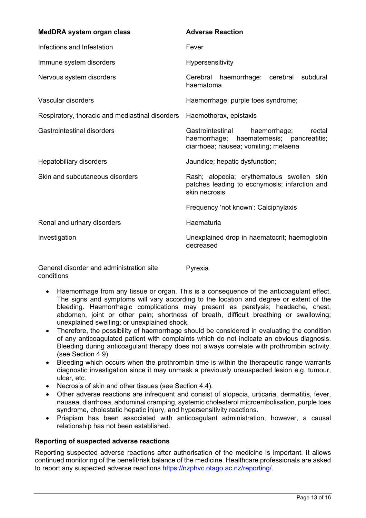| MedDRA system organ class                       | <b>Adverse Reaction</b>                                                                                                           |
|-------------------------------------------------|-----------------------------------------------------------------------------------------------------------------------------------|
| Infections and Infestation                      | Fever                                                                                                                             |
| Immune system disorders                         | Hypersensitivity                                                                                                                  |
| Nervous system disorders                        | Cerebral<br>haemorrhage: cerebral<br>subdural<br>haematoma                                                                        |
| Vascular disorders                              | Haemorrhage; purple toes syndrome;                                                                                                |
| Respiratory, thoracic and mediastinal disorders | Haemothorax, epistaxis                                                                                                            |
| <b>Gastrointestinal disorders</b>               | Gastrointestinal<br>haemorrhage;<br>rectal<br>haemorrhage;<br>haematemesis; pancreatitis;<br>diarrhoea; nausea; vomiting; melaena |
| Hepatobiliary disorders                         | Jaundice; hepatic dysfunction;                                                                                                    |
| Skin and subcutaneous disorders                 | Rash; alopecia; erythematous swollen skin<br>patches leading to ecchymosis; infarction and<br>skin necrosis                       |
|                                                 | Frequency 'not known': Calciphylaxis                                                                                              |
| Renal and urinary disorders                     | Haematuria                                                                                                                        |
| Investigation                                   | Unexplained drop in haematocrit; haemoglobin<br>decreased                                                                         |
| General disorder and administration site        | Pyrexia                                                                                                                           |

conditions

Pyrexia

- Haemorrhage from any tissue or organ. This is a consequence of the anticoagulant effect. The signs and symptoms will vary according to the location and degree or extent of the bleeding. Haemorrhagic complications may present as paralysis; headache, chest, abdomen, joint or other pain; shortness of breath, difficult breathing or swallowing; unexplained swelling; or unexplained shock.
- Therefore, the possibility of haemorrhage should be considered in evaluating the condition of any anticoagulated patient with complaints which do not indicate an obvious diagnosis. Bleeding during anticoagulant therapy does not always correlate with prothrombin activity. (see Section 4.9)
- Bleeding which occurs when the prothrombin time is within the therapeutic range warrants diagnostic investigation since it may unmask a previously unsuspected lesion e.g. tumour, ulcer, etc.
- Necrosis of skin and other tissues (see Section 4.4).
- Other adverse reactions are infrequent and consist of alopecia, urticaria, dermatitis, fever, nausea, diarrhoea, abdominal cramping, systemic cholesterol microembolisation, purple toes syndrome, cholestatic hepatic injury, and hypersensitivity reactions.
- Priapism has been associated with anticoagulant administration, however, a causal relationship has not been established.

### **Reporting of suspected adverse reactions**

Reporting suspected adverse reactions after authorisation of the medicine is important. It allows continued monitoring of the benefit/risk balance of the medicine. Healthcare professionals are asked to report any suspected adverse reactions https://nzphvc.otago.ac.nz/reporting/.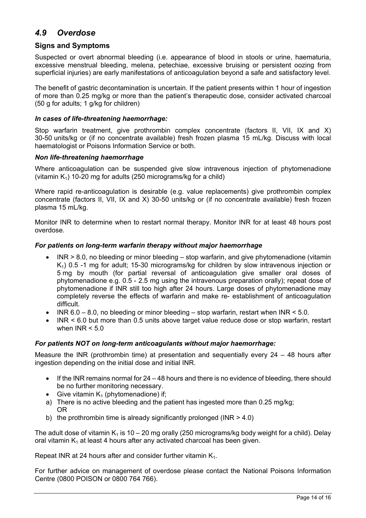# *4.9 Overdose*

### **Signs and Symptoms**

Suspected or overt abnormal bleeding (i.e. appearance of blood in stools or urine, haematuria, excessive menstrual bleeding, melena, petechiae, excessive bruising or persistent oozing from superficial injuries) are early manifestations of anticoagulation beyond a safe and satisfactory level.

The benefit of gastric decontamination is uncertain. If the patient presents within 1 hour of ingestion of more than 0.25 mg/kg or more than the patient's therapeutic dose, consider activated charcoal (50 g for adults; 1 g/kg for children)

#### *In cases of life-threatening haemorrhage:*

Stop warfarin treatment, give prothrombin complex concentrate (factors II, VII, IX and X) 30-50 units/kg or (if no concentrate available) fresh frozen plasma 15 mL/kg. Discuss with local haematologist or Poisons Information Service or both.

#### *Non life-threatening haemorrhage*

Where anticoagulation can be suspended give slow intravenous injection of phytomenadione (vitamin  $K_1$ ) 10-20 mg for adults (250 micrograms/kg for a child)

Where rapid re-anticoagulation is desirable (e.g. value replacements) give prothrombin complex concentrate (factors II, VII, IX and X) 30-50 units/kg or (if no concentrate available) fresh frozen plasma 15 mL/kg.

Monitor INR to determine when to restart normal therapy. Monitor INR for at least 48 hours post overdose.

#### *For patients on long-term warfarin therapy without major haemorrhage*

- INR > 8.0, no bleeding or minor bleeding stop warfarin, and give phytomenadione (vitamin K<sub>1</sub>) 0.5 -1 mg for adult; 15-30 micrograms/kg for children by slow intravenous injection or 5 mg by mouth (for partial reversal of anticoagulation give smaller oral doses of phytomenadione e.g. 0.5 - 2.5 mg using the intravenous preparation orally); repeat dose of phytomenadione if INR still too high after 24 hours. Large doses of phytomenadione may completely reverse the effects of warfarin and make re- establishment of anticoagulation difficult.
- INR  $6.0 8.0$ , no bleeding or minor bleeding  $-$  stop warfarin, restart when INR < 5.0.
- INR < 6.0 but more than 0.5 units above target value reduce dose or stop warfarin, restart when  $INR < 5.0$

### *For patients NOT on long-term anticoagulants without major haemorrhage:*

Measure the INR (prothrombin time) at presentation and sequentially every 24 – 48 hours after ingestion depending on the initial dose and initial INR.

- $\bullet$  If the INR remains normal for 24 48 hours and there is no evidence of bleeding, there should be no further monitoring necessary.
- Give vitamin  $K_1$  (phytomenadione) if;
- a) There is no active bleeding and the patient has ingested more than 0.25 mg/kg; OR
- b) the prothrombin time is already significantly prolonged ( $INR > 4.0$ )

The adult dose of vitamin K<sub>1</sub> is 10 – 20 mg orally (250 micrograms/kg body weight for a child). Delay oral vitamin  $K_1$  at least 4 hours after any activated charcoal has been given.

Repeat INR at 24 hours after and consider further vitamin K<sub>1</sub>.

For further advice on management of overdose please contact the National Poisons Information Centre (0800 POISON or 0800 764 766).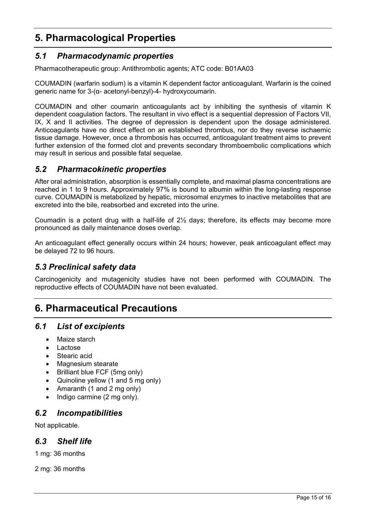# **5. Pharmacological Properties**

# *5.1 Pharmacodynamic properties*

Pharmacotherapeutic group: Antithrombotic agents; ATC code: B01AA03

COUMADIN (warfarin sodium) is a vitamin K dependent factor anticoagulant. Warfarin is the coined generic name for 3-(α- acetonyl-benzyl)-4- hydroxycoumarin.

COUMADIN and other coumarin anticoagulants act by inhibiting the synthesis of vitamin K dependent coagulation factors. The resultant in vivo effect is a sequential depression of Factors VII, IX, X and II activities. The degree of depression is dependent upon the dosage administered. Anticoagulants have no direct effect on an established thrombus, nor do they reverse ischaemic tissue damage. However, once a thrombosis has occurred, anticoagulant treatment aims to prevent further extension of the formed clot and prevents secondary thromboembolic complications which may result in serious and possible fatal sequelae.

# *5.2 Pharmacokinetic properties*

After oral administration, absorption is essentially complete, and maximal plasma concentrations are reached in 1 to 9 hours. Approximately 97% is bound to albumin within the long-lasting response curve. COUMADIN is metabolized by hepatic, microsomal enzymes to inactive metabolites that are excreted into the bile, reabsorbed and excreted into the urine.

Coumadin is a potent drug with a half-life of 2½ days; therefore, its effects may become more pronounced as daily maintenance doses overlap.

An anticoagulant effect generally occurs within 24 hours; however, peak anticoagulant effect may be delayed 72 to 96 hours.

# *5.3 Preclinical safety data*

Carcinogenicity and mutagenicity studies have not been performed with COUMADIN. The reproductive effects of COUMADIN have not been evaluated.

# **6. Pharmaceutical Precautions**

## *6.1 List of excipients*

- Maize starch
- Lactose
- Stearic acid
- Magnesium stearate
- Brilliant blue FCF (5mg only)
- Quinoline yellow (1 and 5 mg only)
- Amaranth (1 and 2 mg only)
- $\bullet$  Indigo carmine (2 mg only).

## *6.2 Incompatibilities*

Not applicable.

## *6.3 Shelf life*

1 mg: 36 months

2 mg: 36 months